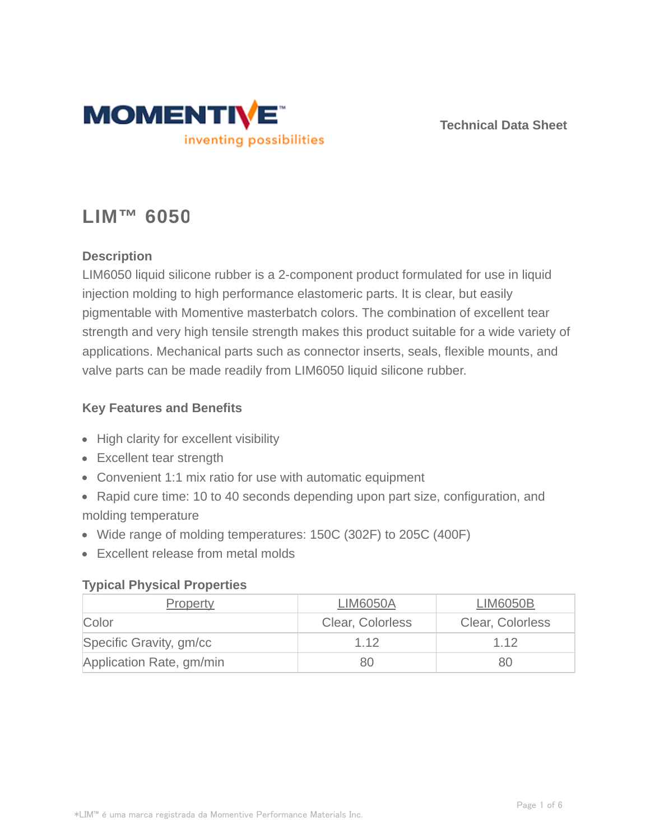

**Technical Data Sheet**

# **LIM™ 6050**

## **Description**

LIM6050 liquid silicone rubber is a 2-component product formulated for use in liquid injection molding to high performance elastomeric parts. It is clear, but easily pigmentable with Momentive masterbatch colors. The combination of excellent tear strength and very high tensile strength makes this product suitable for a wide variety of applications. Mechanical parts such as connector inserts, seals, flexible mounts, and valve parts can be made readily from LIM6050 liquid silicone rubber.

## **Key Features and Benefits**

- High clarity for excellent visibility
- Excellent tear strength
- Convenient 1:1 mix ratio for use with automatic equipment
- Rapid cure time: 10 to 40 seconds depending upon part size, configuration, and molding temperature
- Wide range of molding temperatures: 150C (302F) to 205C (400F)
- Excellent release from metal molds

## **Typical Physical Properties**

| <b>Property</b>          | <b>LIM6050A</b>  | <b>LIM6050B</b>  |
|--------------------------|------------------|------------------|
| Color                    | Clear, Colorless | Clear, Colorless |
| Specific Gravity, gm/cc  | 1.12             | 1.12             |
| Application Rate, gm/min | 80               | 80               |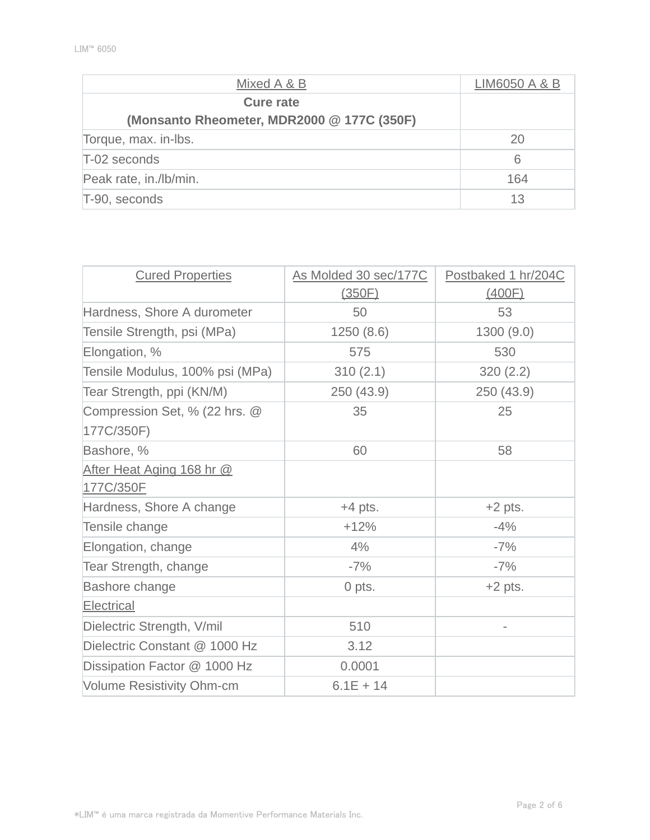| Mixed A & B                                                    | LIM6050 A & B |
|----------------------------------------------------------------|---------------|
| <b>Cure rate</b><br>(Monsanto Rheometer, MDR2000 @ 177C (350F) |               |
| Torque, max. in-lbs.                                           | 20            |
| T-02 seconds                                                   | 6             |
| Peak rate, in./lb/min.                                         | 164           |
| T-90, seconds                                                  | 13            |

| <b>Cured Properties</b>          | As Molded 30 sec/177C | Postbaked 1 hr/204C      |
|----------------------------------|-----------------------|--------------------------|
|                                  | (350F)                | (400F)                   |
| Hardness, Shore A durometer      | 50                    | 53                       |
| Tensile Strength, psi (MPa)      | 1250(8.6)             | 1300(9.0)                |
| Elongation, %                    | 575                   | 530                      |
| Tensile Modulus, 100% psi (MPa)  | 310(2.1)              | 320(2.2)                 |
| Tear Strength, ppi (KN/M)        | 250 (43.9)            | 250 (43.9)               |
| Compression Set, % (22 hrs. @    | 35                    | 25                       |
| 177C/350F)                       |                       |                          |
| Bashore, %                       | 60                    | 58                       |
| After Heat Aging 168 hr @        |                       |                          |
| 177C/350F                        |                       |                          |
| Hardness, Shore A change         | $+4$ pts.             | $+2$ pts.                |
| Tensile change                   | $+12%$                | $-4%$                    |
| Elongation, change               | 4%                    | $-7%$                    |
| <b>Tear Strength, change</b>     | $-7%$                 | $-7%$                    |
| Bashore change                   | 0 pts.                | $+2$ pts.                |
| Electrical                       |                       |                          |
| Dielectric Strength, V/mil       | 510                   | $\overline{\phantom{0}}$ |
| Dielectric Constant @ 1000 Hz    | 3.12                  |                          |
| Dissipation Factor @ 1000 Hz     | 0.0001                |                          |
| <b>Volume Resistivity Ohm-cm</b> | $6.1E + 14$           |                          |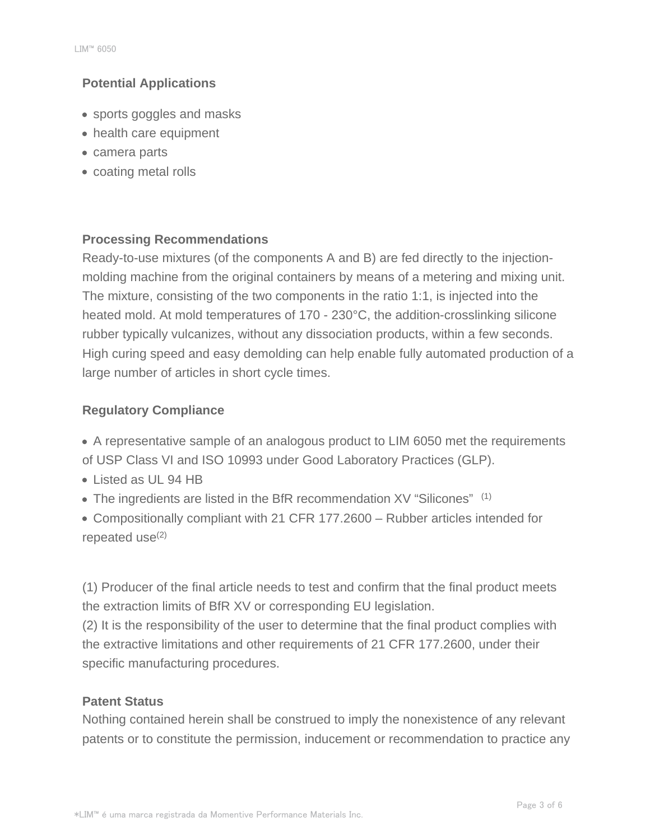## **Potential Applications**

- sports goggles and masks
- health care equipment
- camera parts
- coating metal rolls

## **Processing Recommendations**

Ready-to-use mixtures (of the components A and B) are fed directly to the injectionmolding machine from the original containers by means of a metering and mixing unit. The mixture, consisting of the two components in the ratio 1:1, is injected into the heated mold. At mold temperatures of 170 - 230°C, the addition-crosslinking silicone rubber typically vulcanizes, without any dissociation products, within a few seconds. High curing speed and easy demolding can help enable fully automated production of a large number of articles in short cycle times.

## **Regulatory Compliance**

- A representative sample of an analogous product to LIM 6050 met the requirements of USP Class VI and ISO 10993 under Good Laboratory Practices (GLP).
- Listed as UL 94 HB
- The ingredients are listed in the BfR recommendation XV "Silicones" (1)
- Compositionally compliant with 21 CFR 177.2600 Rubber articles intended for repeated use $(2)$

(1) Producer of the final article needs to test and confirm that the final product meets the extraction limits of BfR XV or corresponding EU legislation.

(2) It is the responsibility of the user to determine that the final product complies with the extractive limitations and other requirements of 21 CFR 177.2600, under their specific manufacturing procedures.

## **Patent Status**

Nothing contained herein shall be construed to imply the nonexistence of any relevant patents or to constitute the permission, inducement or recommendation to practice any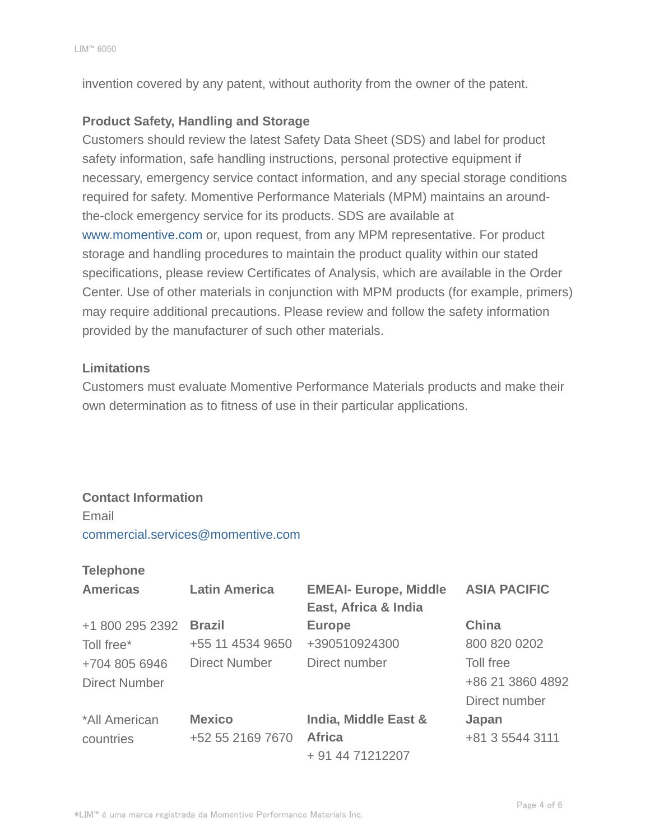invention covered by any patent, without authority from the owner of the patent.

### **Product Safety, Handling and Storage**

Customers should review the latest Safety Data Sheet (SDS) and label for product safety information, safe handling instructions, personal protective equipment if necessary, emergency service contact information, and any special storage conditions required for safety. Momentive Performance Materials (MPM) maintains an aroundthe-clock emergency service for its products. SDS are available at www.momentive.com or, upon request, from any MPM representative. For product storage and handling procedures to maintain the product quality within our stated specifications, please review Certificates of Analysis, which are available in the Order Center. Use of other materials in conjunction with MPM products (for example, primers) may require additional precautions. Please review and follow the safety information provided by the manufacturer of such other materials.

#### **Limitations**

Customers must evaluate Momentive Performance Materials products and make their own determination as to fitness of use in their particular applications.

#### **Contact Information**

#### Email

commercial.services@momentive.com

#### **Telephone**

| <b>Americas</b>      | <b>Latin America</b> | <b>EMEAI- Europe, Middle</b><br>East, Africa & India | <b>ASIA PACIFIC</b> |
|----------------------|----------------------|------------------------------------------------------|---------------------|
| +1 800 295 2392      | <b>Brazil</b>        | <b>Europe</b>                                        | <b>China</b>        |
| Toll free*           | +55 11 4534 9650     | +390510924300                                        | 800 820 0202        |
| +704 805 6946        | <b>Direct Number</b> | Direct number                                        | Toll free           |
| <b>Direct Number</b> |                      |                                                      | +86 21 3860 4892    |
|                      |                      |                                                      | Direct number       |
| *All American        | <b>Mexico</b>        | India, Middle East &                                 | Japan               |
| countries            | +52 55 2169 7670     | <b>Africa</b>                                        | +81 3 5544 3111     |
|                      |                      | + 91 44 71212207                                     |                     |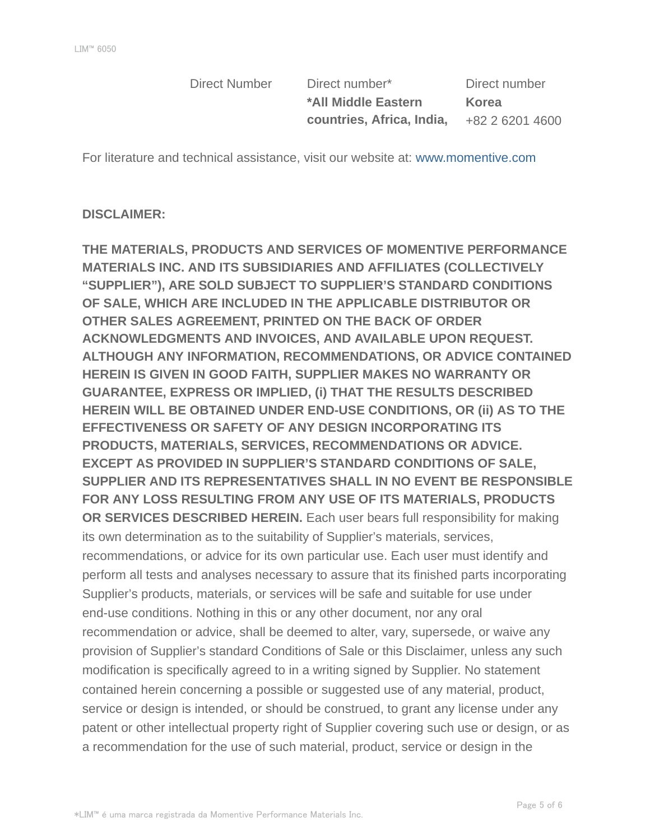Direct Number Direct number\* Direct number **\*All Middle Eastern countries, Africa, India,**

**Korea** +82 2 6201 4600

For literature and technical assistance, visit our website at: www.momentive.com

#### **DISCLAIMER:**

**THE MATERIALS, PRODUCTS AND SERVICES OF MOMENTIVE PERFORMANCE MATERIALS INC. AND ITS SUBSIDIARIES AND AFFILIATES (COLLECTIVELY "SUPPLIER"), ARE SOLD SUBJECT TO SUPPLIER'S STANDARD CONDITIONS OF SALE, WHICH ARE INCLUDED IN THE APPLICABLE DISTRIBUTOR OR OTHER SALES AGREEMENT, PRINTED ON THE BACK OF ORDER ACKNOWLEDGMENTS AND INVOICES, AND AVAILABLE UPON REQUEST. ALTHOUGH ANY INFORMATION, RECOMMENDATIONS, OR ADVICE CONTAINED HEREIN IS GIVEN IN GOOD FAITH, SUPPLIER MAKES NO WARRANTY OR GUARANTEE, EXPRESS OR IMPLIED, (i) THAT THE RESULTS DESCRIBED HEREIN WILL BE OBTAINED UNDER END-USE CONDITIONS, OR (ii) AS TO THE EFFECTIVENESS OR SAFETY OF ANY DESIGN INCORPORATING ITS PRODUCTS, MATERIALS, SERVICES, RECOMMENDATIONS OR ADVICE. EXCEPT AS PROVIDED IN SUPPLIER'S STANDARD CONDITIONS OF SALE, SUPPLIER AND ITS REPRESENTATIVES SHALL IN NO EVENT BE RESPONSIBLE FOR ANY LOSS RESULTING FROM ANY USE OF ITS MATERIALS, PRODUCTS OR SERVICES DESCRIBED HEREIN.** Each user bears full responsibility for making its own determination as to the suitability of Supplier's materials, services, recommendations, or advice for its own particular use. Each user must identify and perform all tests and analyses necessary to assure that its finished parts incorporating Supplier's products, materials, or services will be safe and suitable for use under end-use conditions. Nothing in this or any other document, nor any oral recommendation or advice, shall be deemed to alter, vary, supersede, or waive any provision of Supplier's standard Conditions of Sale or this Disclaimer, unless any such modification is specifically agreed to in a writing signed by Supplier. No statement contained herein concerning a possible or suggested use of any material, product, service or design is intended, or should be construed, to grant any license under any patent or other intellectual property right of Supplier covering such use or design, or as a recommendation for the use of such material, product, service or design in the